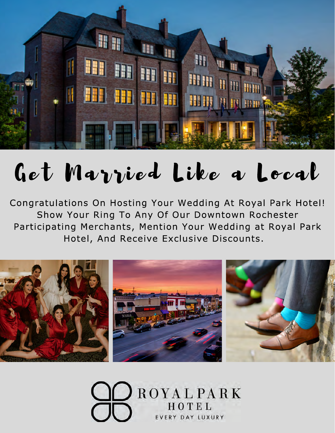

# Get Married Like a Local

Congratulations On Hosting Your Wedding At Royal Park Hotel! Show Your Ring To Any Of Our Downtown Rochester Participating Merchants, Mention Your Wedding at Royal Park Hotel, And Receive Exclusive Discounts.